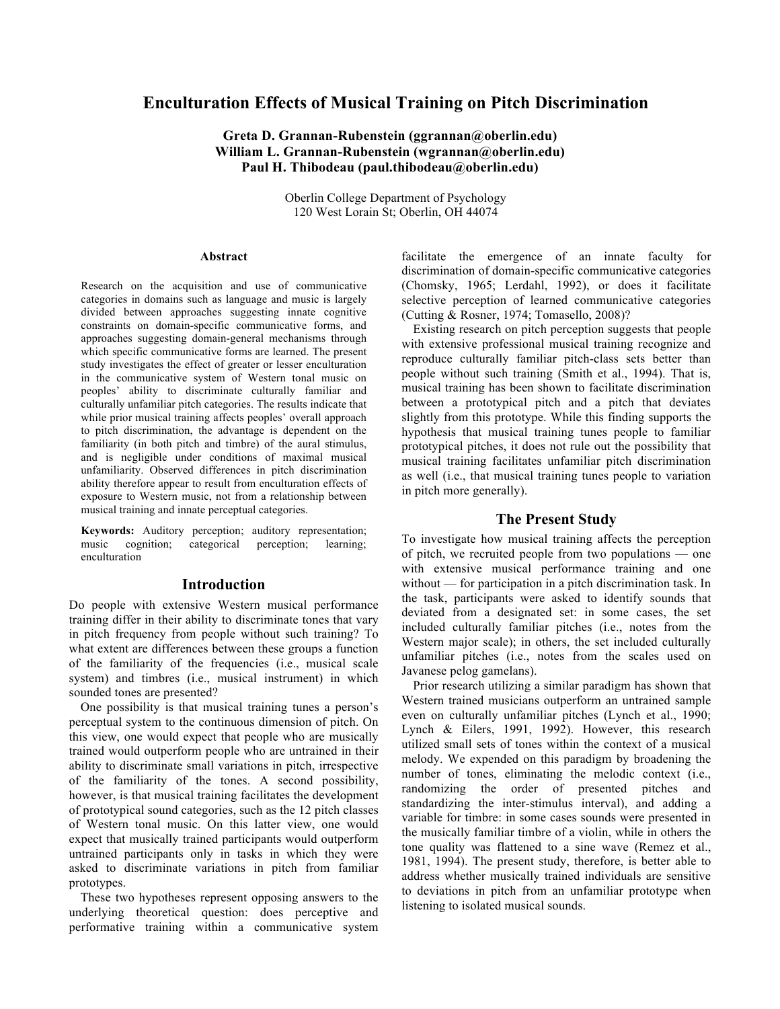# **Enculturation Effects of Musical Training on Pitch Discrimination**

**Greta D. Grannan-Rubenstein (ggrannan@oberlin.edu) William L. Grannan-Rubenstein (wgrannan@oberlin.edu) Paul H. Thibodeau (paul.thibodeau@oberlin.edu)**

> Oberlin College Department of Psychology 120 West Lorain St; Oberlin, OH 44074

#### **Abstract**

Research on the acquisition and use of communicative categories in domains such as language and music is largely divided between approaches suggesting innate cognitive constraints on domain-specific communicative forms, and approaches suggesting domain-general mechanisms through which specific communicative forms are learned. The present study investigates the effect of greater or lesser enculturation in the communicative system of Western tonal music on peoples' ability to discriminate culturally familiar and culturally unfamiliar pitch categories. The results indicate that while prior musical training affects peoples' overall approach to pitch discrimination, the advantage is dependent on the familiarity (in both pitch and timbre) of the aural stimulus, and is negligible under conditions of maximal musical unfamiliarity. Observed differences in pitch discrimination ability therefore appear to result from enculturation effects of exposure to Western music, not from a relationship between musical training and innate perceptual categories.

**Keywords:** Auditory perception; auditory representation; music cognition; categorical perception; learning; enculturation

### **Introduction**

Do people with extensive Western musical performance training differ in their ability to discriminate tones that vary in pitch frequency from people without such training? To what extent are differences between these groups a function of the familiarity of the frequencies (i.e., musical scale system) and timbres (i.e., musical instrument) in which sounded tones are presented?

One possibility is that musical training tunes a person's perceptual system to the continuous dimension of pitch. On this view, one would expect that people who are musically trained would outperform people who are untrained in their ability to discriminate small variations in pitch, irrespective of the familiarity of the tones. A second possibility, however, is that musical training facilitates the development of prototypical sound categories, such as the 12 pitch classes of Western tonal music. On this latter view, one would expect that musically trained participants would outperform untrained participants only in tasks in which they were asked to discriminate variations in pitch from familiar prototypes.

These two hypotheses represent opposing answers to the underlying theoretical question: does perceptive and performative training within a communicative system

facilitate the emergence of an innate faculty for discrimination of domain-specific communicative categories (Chomsky, 1965; Lerdahl, 1992), or does it facilitate selective perception of learned communicative categories (Cutting & Rosner, 1974; Tomasello, 2008)?

Existing research on pitch perception suggests that people with extensive professional musical training recognize and reproduce culturally familiar pitch-class sets better than people without such training (Smith et al., 1994). That is, musical training has been shown to facilitate discrimination between a prototypical pitch and a pitch that deviates slightly from this prototype. While this finding supports the hypothesis that musical training tunes people to familiar prototypical pitches, it does not rule out the possibility that musical training facilitates unfamiliar pitch discrimination as well (i.e., that musical training tunes people to variation in pitch more generally).

## **The Present Study**

To investigate how musical training affects the perception of pitch, we recruited people from two populations — one with extensive musical performance training and one without — for participation in a pitch discrimination task. In the task, participants were asked to identify sounds that deviated from a designated set: in some cases, the set included culturally familiar pitches (i.e., notes from the Western major scale); in others, the set included culturally unfamiliar pitches (i.e., notes from the scales used on Javanese pelog gamelans).

Prior research utilizing a similar paradigm has shown that Western trained musicians outperform an untrained sample even on culturally unfamiliar pitches (Lynch et al., 1990; Lynch & Eilers, 1991, 1992). However, this research utilized small sets of tones within the context of a musical melody. We expended on this paradigm by broadening the number of tones, eliminating the melodic context (i.e., randomizing the order of presented pitches and standardizing the inter-stimulus interval), and adding a variable for timbre: in some cases sounds were presented in the musically familiar timbre of a violin, while in others the tone quality was flattened to a sine wave (Remez et al., 1981, 1994). The present study, therefore, is better able to address whether musically trained individuals are sensitive to deviations in pitch from an unfamiliar prototype when listening to isolated musical sounds.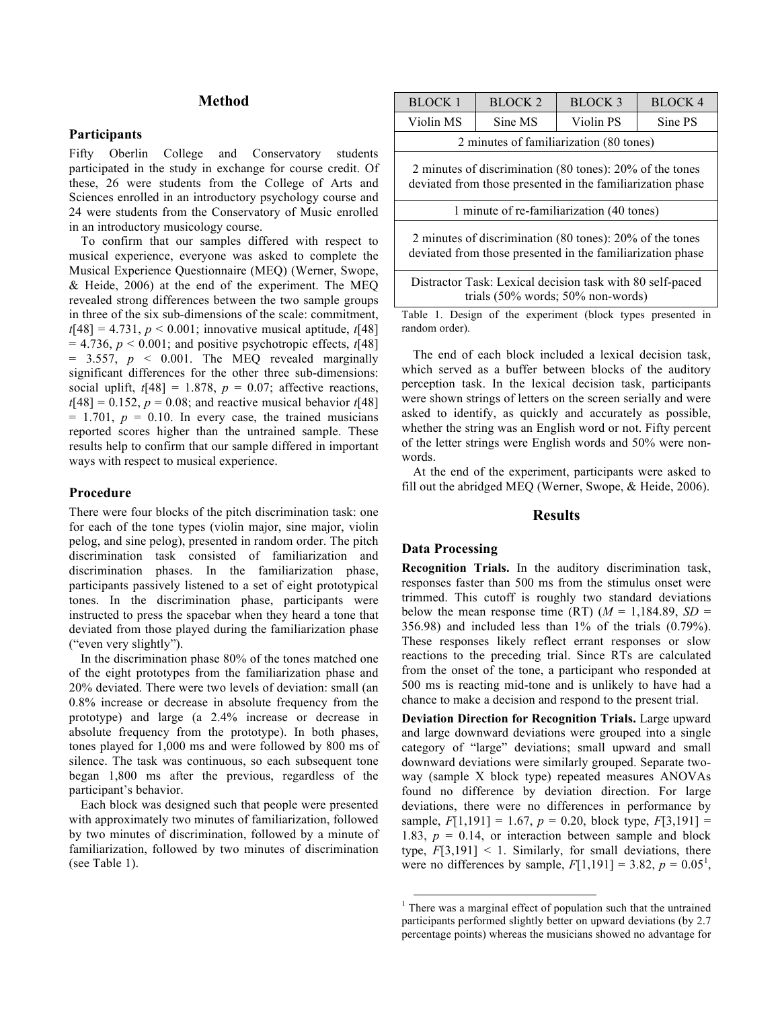### **Method**

#### **Participants**

Fifty Oberlin College and Conservatory students participated in the study in exchange for course credit. Of these, 26 were students from the College of Arts and Sciences enrolled in an introductory psychology course and 24 were students from the Conservatory of Music enrolled in an introductory musicology course.

To confirm that our samples differed with respect to musical experience, everyone was asked to complete the Musical Experience Questionnaire (MEQ) (Werner, Swope, & Heide, 2006) at the end of the experiment. The MEQ revealed strong differences between the two sample groups in three of the six sub-dimensions of the scale: commitment,  $t[48] = 4.731, p < 0.001$ ; innovative musical aptitude,  $t[48]$  $= 4.736$ ,  $p < 0.001$ ; and positive psychotropic effects,  $t[48]$  $= 3.557$ ,  $p \le 0.001$ . The MEQ revealed marginally significant differences for the other three sub-dimensions: social uplift,  $t[48] = 1.878$ ,  $p = 0.07$ ; affective reactions,  $t[48] = 0.152$ ,  $p = 0.08$ ; and reactive musical behavior  $t[48]$  $= 1.701$ ,  $p = 0.10$ . In every case, the trained musicians reported scores higher than the untrained sample. These results help to confirm that our sample differed in important ways with respect to musical experience.

### **Procedure**

There were four blocks of the pitch discrimination task: one for each of the tone types (violin major, sine major, violin pelog, and sine pelog), presented in random order. The pitch discrimination task consisted of familiarization and discrimination phases. In the familiarization phase, participants passively listened to a set of eight prototypical tones. In the discrimination phase, participants were instructed to press the spacebar when they heard a tone that deviated from those played during the familiarization phase ("even very slightly").

In the discrimination phase 80% of the tones matched one of the eight prototypes from the familiarization phase and 20% deviated. There were two levels of deviation: small (an 0.8% increase or decrease in absolute frequency from the prototype) and large (a 2.4% increase or decrease in absolute frequency from the prototype). In both phases, tones played for 1,000 ms and were followed by 800 ms of silence. The task was continuous, so each subsequent tone began 1,800 ms after the previous, regardless of the participant's behavior.

Each block was designed such that people were presented with approximately two minutes of familiarization, followed by two minutes of discrimination, followed by a minute of familiarization, followed by two minutes of discrimination (see Table 1).

| BLOCK 1                                                                                                                              | BLOCK <sub>2</sub> | BLOCK 3   | BLOCK <sub>4</sub> |
|--------------------------------------------------------------------------------------------------------------------------------------|--------------------|-----------|--------------------|
| Violin MS                                                                                                                            | Sine MS            | Violin PS | Sine PS            |
| 2 minutes of familiarization (80 tones)                                                                                              |                    |           |                    |
| 2 minutes of discrimination (80 tones): 20% of the tones<br>deviated from those presented in the familiarization phase               |                    |           |                    |
| 1 minute of re-familiarization (40 tones)                                                                                            |                    |           |                    |
| 2 minutes of discrimination $(80 \text{ tones})$ : $20\%$ of the tones<br>deviated from those presented in the familiarization phase |                    |           |                    |
| Distractor Task: Lexical decision task with 80 self-paced<br>trials $(50\% \text{ words}; 50\% \text{ non-words})$                   |                    |           |                    |
| Table 1. Design of the experiment (block types presented in<br>random order).                                                        |                    |           |                    |

The end of each block included a lexical decision task, which served as a buffer between blocks of the auditory perception task. In the lexical decision task, participants were shown strings of letters on the screen serially and were asked to identify, as quickly and accurately as possible, whether the string was an English word or not. Fifty percent of the letter strings were English words and 50% were nonwords.

At the end of the experiment, participants were asked to fill out the abridged MEQ (Werner, Swope, & Heide, 2006).

### **Results**

### **Data Processing**

**Recognition Trials.** In the auditory discrimination task, responses faster than 500 ms from the stimulus onset were trimmed. This cutoff is roughly two standard deviations below the mean response time  $(RT)$   $(M = 1.184.89, SD =$ 356.98) and included less than 1% of the trials (0.79%). These responses likely reflect errant responses or slow reactions to the preceding trial. Since RTs are calculated from the onset of the tone, a participant who responded at 500 ms is reacting mid-tone and is unlikely to have had a chance to make a decision and respond to the present trial.

**Deviation Direction for Recognition Trials.** Large upward and large downward deviations were grouped into a single category of "large" deviations; small upward and small downward deviations were similarly grouped. Separate twoway (sample X block type) repeated measures ANOVAs found no difference by deviation direction. For large deviations, there were no differences in performance by sample,  $F[1,191] = 1.67$ ,  $p = 0.20$ , block type,  $F[3,191] =$ 1.83,  $p = 0.14$ , or interaction between sample and block type,  $F[3,191] < 1$ . Similarly, for small deviations, there were no differences by sample,  $F[1,191] = 3.82, p = 0.05^1$ ,

 $<sup>1</sup>$  There was a marginal effect of population such that the untrained</sup> participants performed slightly better on upward deviations (by 2.7 percentage points) whereas the musicians showed no advantage for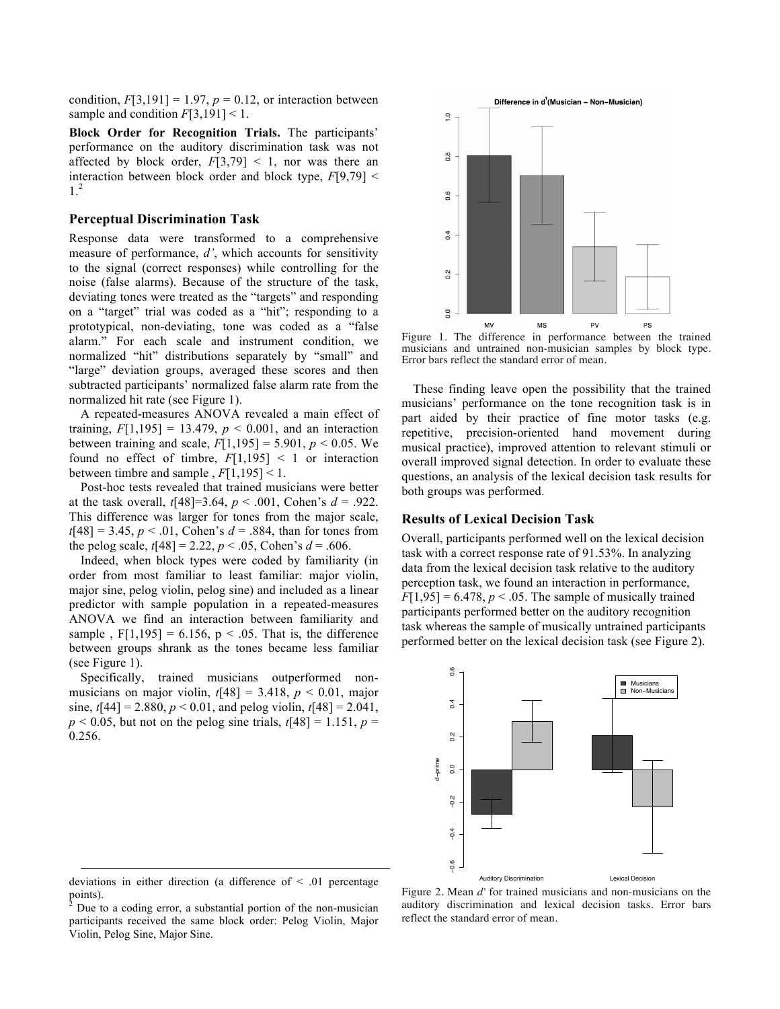condition,  $F[3,191] = 1.97$ ,  $p = 0.12$ , or interaction between sample and condition  $F[3,191] < 1$ .

**Block Order for Recognition Trials.** The participants' performance on the auditory discrimination task was not affected by block order,  $F[3,79] < 1$ , nor was there an interaction between block order and block type, *F*[9,79] < 1. 2

#### **Perceptual Discrimination Task**

Response data were transformed to a comprehensive measure of performance, *d'*, which accounts for sensitivity to the signal (correct responses) while controlling for the noise (false alarms). Because of the structure of the task, deviating tones were treated as the "targets" and responding on a "target" trial was coded as a "hit"; responding to a prototypical, non-deviating, tone was coded as a "false alarm." For each scale and instrument condition, we normalized "hit" distributions separately by "small" and "large" deviation groups, averaged these scores and then subtracted participants' normalized false alarm rate from the normalized hit rate (see Figure 1).

A repeated-measures ANOVA revealed a main effect of training,  $F[1,195] = 13.479$ ,  $p < 0.001$ , and an interaction between training and scale,  $F[1,195] = 5.901$ ,  $p < 0.05$ . We found no effect of timbre,  $F[1,195] < 1$  or interaction between timbre and sample,  $F[1,195] < 1$ .

Post-hoc tests revealed that trained musicians were better at the task overall,  $t[48] = 3.64$ ,  $p < .001$ , Cohen's  $d = .922$ . This difference was larger for tones from the major scale,  $t[48] = 3.45$ ,  $p < .01$ , Cohen's  $d = .884$ , than for tones from the pelog scale,  $t[48] = 2.22$ ,  $p < .05$ , Cohen's  $d = .606$ .

Indeed, when block types were coded by familiarity (in order from most familiar to least familiar: major violin, major sine, pelog violin, pelog sine) and included as a linear predictor with sample population in a repeated-measures ANOVA we find an interaction between familiarity and sample,  $F[1,195] = 6.156$ ,  $p < .05$ . That is, the difference between groups shrank as the tones became less familiar (see Figure 1).

Specifically, trained musicians outperformed nonmusicians on major violin,  $t[48] = 3.418$ ,  $p < 0.01$ , major sine,  $t[44] = 2.880, p < 0.01$ , and pelog violin,  $t[48] = 2.041$ ,  $p$  < 0.05, but not on the pelog sine trials,  $t[48] = 1.151$ ,  $p =$ 0.256.



Figure 1. The difference in performance between the trained musicians and untrained non-musician samples by block type. Error bars reflect the standard error of mean.

These finding leave open the possibility that the trained musicians' performance on the tone recognition task is in part aided by their practice of fine motor tasks (e.g. repetitive, precision-oriented hand movement during musical practice), improved attention to relevant stimuli or overall improved signal detection. In order to evaluate these questions, an analysis of the lexical decision task results for both groups was performed.

### **Results of Lexical Decision Task**

Overall, participants performed well on the lexical decision task with a correct response rate of 91.53%. In analyzing data from the lexical decision task relative to the auditory perception task, we found an interaction in performance,  $F[1,95] = 6.478$ ,  $p < .05$ . The sample of musically trained participants performed better on the auditory recognition task whereas the sample of musically untrained participants performed better on the lexical decision task (see Figure 2).



deviations in either direction (a difference of < .01 percentage  $\frac{1}{2}$  points).

1

Figure 2. Mean *d'* for trained musicians and non-musicians on the auditory discrimination and lexical decision tasks. Error bars reflect the standard error of mean.

<sup>2</sup> Due to a coding error, a substantial portion of the non-musician participants received the same block order: Pelog Violin, Major Violin, Pelog Sine, Major Sine.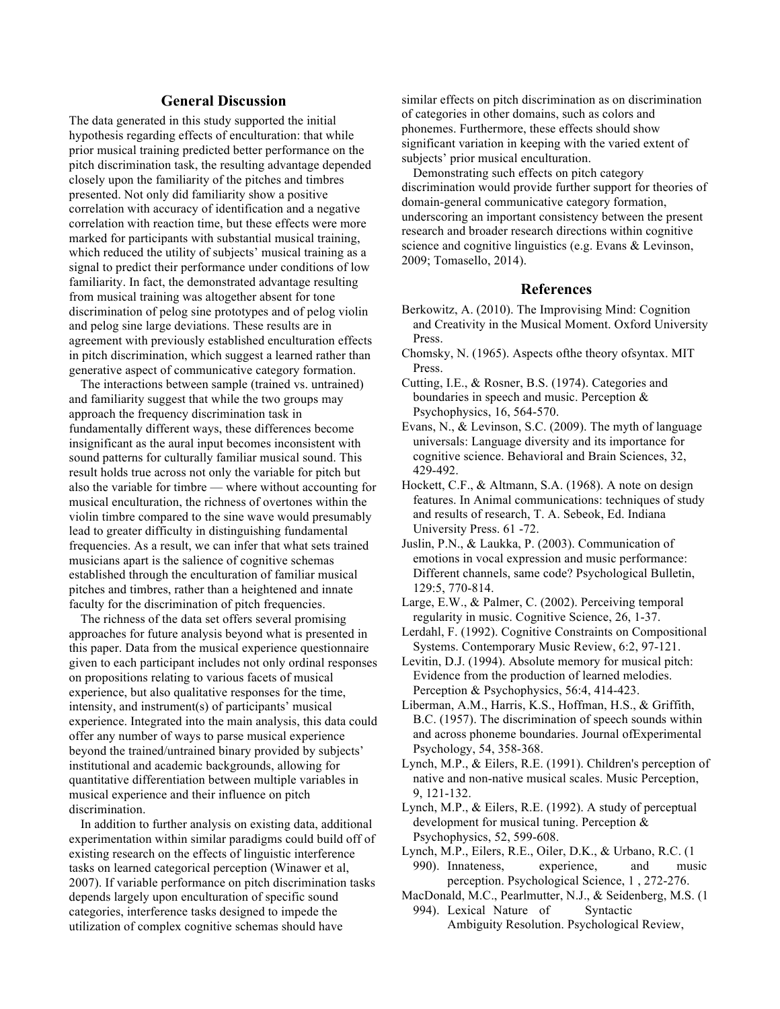### **General Discussion**

The data generated in this study supported the initial hypothesis regarding effects of enculturation: that while prior musical training predicted better performance on the pitch discrimination task, the resulting advantage depended closely upon the familiarity of the pitches and timbres presented. Not only did familiarity show a positive correlation with accuracy of identification and a negative correlation with reaction time, but these effects were more marked for participants with substantial musical training, which reduced the utility of subjects' musical training as a signal to predict their performance under conditions of low familiarity. In fact, the demonstrated advantage resulting from musical training was altogether absent for tone discrimination of pelog sine prototypes and of pelog violin and pelog sine large deviations. These results are in agreement with previously established enculturation effects in pitch discrimination, which suggest a learned rather than generative aspect of communicative category formation.

The interactions between sample (trained vs. untrained) and familiarity suggest that while the two groups may approach the frequency discrimination task in fundamentally different ways, these differences become insignificant as the aural input becomes inconsistent with sound patterns for culturally familiar musical sound. This result holds true across not only the variable for pitch but also the variable for timbre — where without accounting for musical enculturation, the richness of overtones within the violin timbre compared to the sine wave would presumably lead to greater difficulty in distinguishing fundamental frequencies. As a result, we can infer that what sets trained musicians apart is the salience of cognitive schemas established through the enculturation of familiar musical pitches and timbres, rather than a heightened and innate faculty for the discrimination of pitch frequencies.

The richness of the data set offers several promising approaches for future analysis beyond what is presented in this paper. Data from the musical experience questionnaire given to each participant includes not only ordinal responses on propositions relating to various facets of musical experience, but also qualitative responses for the time, intensity, and instrument(s) of participants' musical experience. Integrated into the main analysis, this data could offer any number of ways to parse musical experience beyond the trained/untrained binary provided by subjects' institutional and academic backgrounds, allowing for quantitative differentiation between multiple variables in musical experience and their influence on pitch discrimination.

In addition to further analysis on existing data, additional experimentation within similar paradigms could build off of existing research on the effects of linguistic interference tasks on learned categorical perception (Winawer et al, 2007). If variable performance on pitch discrimination tasks depends largely upon enculturation of specific sound categories, interference tasks designed to impede the utilization of complex cognitive schemas should have

similar effects on pitch discrimination as on discrimination of categories in other domains, such as colors and phonemes. Furthermore, these effects should show significant variation in keeping with the varied extent of subjects' prior musical enculturation.

Demonstrating such effects on pitch category discrimination would provide further support for theories of domain-general communicative category formation, underscoring an important consistency between the present research and broader research directions within cognitive science and cognitive linguistics (e.g. Evans & Levinson, 2009; Tomasello, 2014).

### **References**

- Berkowitz, A. (2010). The Improvising Mind: Cognition and Creativity in the Musical Moment. Oxford University Press.
- Chomsky, N. (1965). Aspects ofthe theory ofsyntax. MIT Press.
- Cutting, I.E., & Rosner, B.S. (1974). Categories and boundaries in speech and music. Perception & Psychophysics, 16, 564-570.
- Evans, N., & Levinson, S.C. (2009). The myth of language universals: Language diversity and its importance for cognitive science. Behavioral and Brain Sciences, 32, 429-492.
- Hockett, C.F., & Altmann, S.A. (1968). A note on design features. In Animal communications: techniques of study and results of research, T. A. Sebeok, Ed. Indiana University Press. 61 -72.
- Juslin, P.N., & Laukka, P. (2003). Communication of emotions in vocal expression and music performance: Different channels, same code? Psychological Bulletin, 129:5, 770-814.
- Large, E.W., & Palmer, C. (2002). Perceiving temporal regularity in music. Cognitive Science, 26, 1-37.
- Lerdahl, F. (1992). Cognitive Constraints on Compositional Systems. Contemporary Music Review, 6:2, 97-121.
- Levitin, D.J. (1994). Absolute memory for musical pitch: Evidence from the production of learned melodies. Perception & Psychophysics, 56:4, 414-423.
- Liberman, A.M., Harris, K.S., Hoffman, H.S., & Griffith, B.C. (1957). The discrimination of speech sounds within and across phoneme boundaries. Journal ofExperimental Psychology, 54, 358-368.
- Lynch, M.P., & Eilers, R.E. (1991). Children's perception of native and non-native musical scales. Music Perception, 9, 121-132.
- Lynch, M.P., & Eilers, R.E. (1992). A study of perceptual development for musical tuning. Perception & Psychophysics, 52, 599-608.
- Lynch, M.P., Eilers, R.E., Oiler, D.K., & Urbano, R.C. (1 990). Innateness, experience, and music perception. Psychological Science, 1 , 272-276.
- MacDonald, M.C., Pearlmutter, N.J., & Seidenberg, M.S. (1
	- 994). Lexical Nature of Syntactic Ambiguity Resolution. Psychological Review,